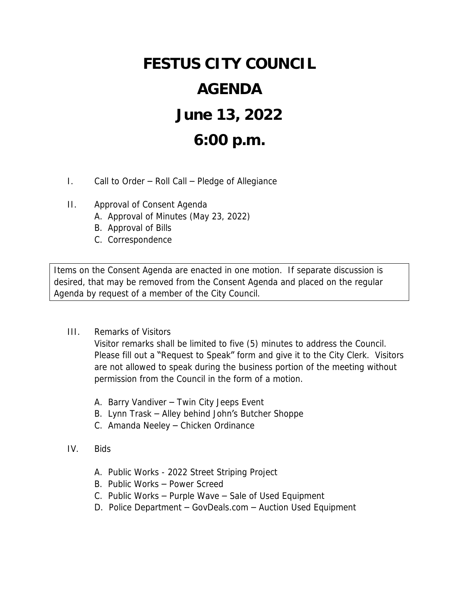## **FESTUS CITY COUNCIL AGENDA June 13, 2022 6:00 p.m.**

- I. Call to Order Roll Call Pledge of Allegiance
- II. Approval of Consent Agenda
	- A. Approval of Minutes (May 23, 2022)
	- B. Approval of Bills
	- C. Correspondence

Items on the Consent Agenda are enacted in one motion. If separate discussion is desired, that may be removed from the Consent Agenda and placed on the regular Agenda by request of a member of the City Council.

III. Remarks of Visitors

Visitor remarks shall be limited to five (5) minutes to address the Council. Please fill out a "Request to Speak" form and give it to the City Clerk. Visitors are not allowed to speak during the business portion of the meeting without permission from the Council in the form of a motion.

- A. Barry Vandiver Twin City Jeeps Event
- B. Lynn Trask Alley behind John's Butcher Shoppe
- C. Amanda Neeley Chicken Ordinance
- IV. Bids
	- A. Public Works 2022 Street Striping Project
	- B. Public Works Power Screed
	- C. Public Works Purple Wave Sale of Used Equipment
	- D. Police Department GovDeals.com Auction Used Equipment